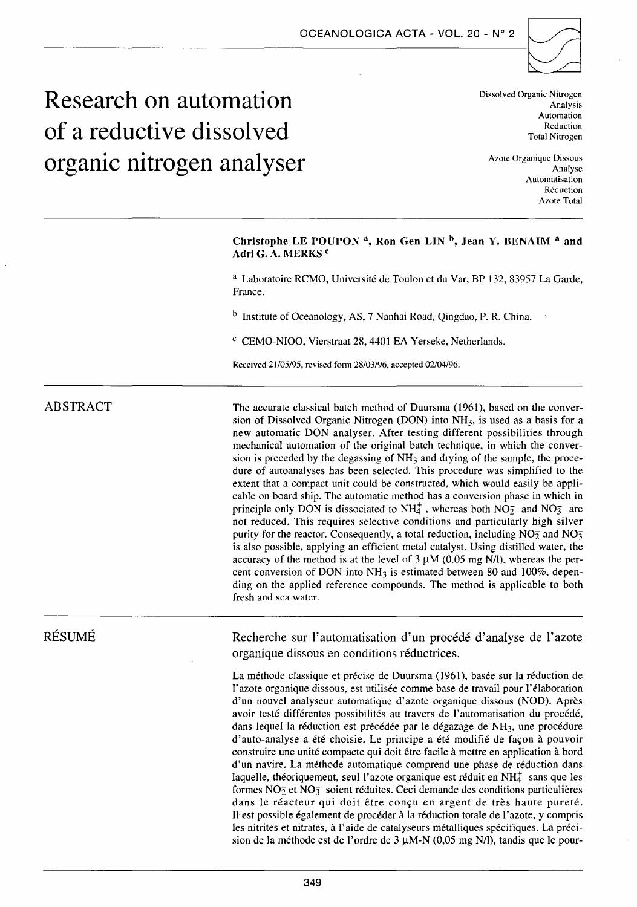

# **Research on automation of a reductive dissolved organic nitrogen analyser**

Dissolved Organic Nitrogen Analysis Automation Reduction Total Nitrogen

Azote Organique Dissous Analyse Automatisation Réduction Azote Total

# Christophe LE POUPON<sup>a</sup>, Ron Gen LIN<sup>b</sup>, Jean Y. BENAIM<sup>a</sup> and Adri G. A. MERKS<sup>c</sup>

a Laboratoire RCMO, Université de Toulon et du Var, BP 132, 83957 La Garde, France.

b Institute of Oceanology, AS, 7 Nanhai Road, Qingdao, P. R. China.

c CEMO-NIOO, Vierstraat 28,4401 EA Yerseke, Netherlands.

Received 21/05/95, rcviscd form 28/03/96, accepted 02/04/96.

# ABSTRACT

The accurate classical batch method of Duursma (1961), based on the conversion of Dissolved Organic Nitrogen (DON) into NH3, is used as a basis for a new automatic DON analyser. After testing different possibilities through mechanical automation of the original batch technique, in which the conversion is preceded by the degassing of NH3 and drying of the sample, the procedure of autoanalyses has been selected. This procedure was simplified to the extent that a compact unit could be constructed, which would easily be applicable on board ship. The automatic method has a conversion phase in which in principle only DON is dissociated to NH<sub>4</sub>, whereas both NO<sub>2</sub> and NO<sub>3</sub> are not reduced. This requires selective conditions and particularly high silver purity for the reactor. Consequently, a total reduction, including  $NO<sub>2</sub>$  and  $NO<sub>3</sub>$ is also possible, applying an efficient metal catalyst. Using distilled water, the accuracy of the method is at the level of  $3 \mu$ M (0.05 mg N/l), whereas the percent conversion of DON into  $NH<sub>3</sub>$  is estimated between 80 and 100%, depending on the applied reference compounds. The method is applicable to both fresh and sea water.

RÉSUMÉ

Recherche sur l'automatisation d'un procédé d'analyse de l'azote organique dissous en conditions réductrices.

La méthode classique et précise de Duursma (1961), basée sur la réduction de l'azote organique dissous, est utilisée comme base de travail pour l'élaboration d'un nouvel analyseur automatique d'azote organique dissous (NOD). Après avoir testé différentes possibilités au travers de l'automatisation du procédé, dans lequel la réduction est précédée par le dégazage de NH<sub>3</sub>, une procédure d'auto-analyse a été choisie. Le principe a été modifié de façon à pouvoir construire une unité compacte qui doit être facile à mettre en application à bord d'un navire. La méthode automatique comprend une phase de réduction dans laquelle, théoriquement, seul l'azote organique est réduit en  $NH_4^+$  sans que les formes  $NO<sub>2</sub>$  et  $NO<sub>3</sub>$  soient réduites. Ceci demande des conditions particulières dans le réacteur qui doit être conçu en argent de très haute pureté. Il est possible également de procéder à la réduction totale de l'azote, y compris les nitrites et nitrates, à l'aide de catalyseurs métalliques spécifiques. La précision de la méthode est de l'ordre de 3  $\mu$ M-N (0,05 mg N/l), tandis que le pour-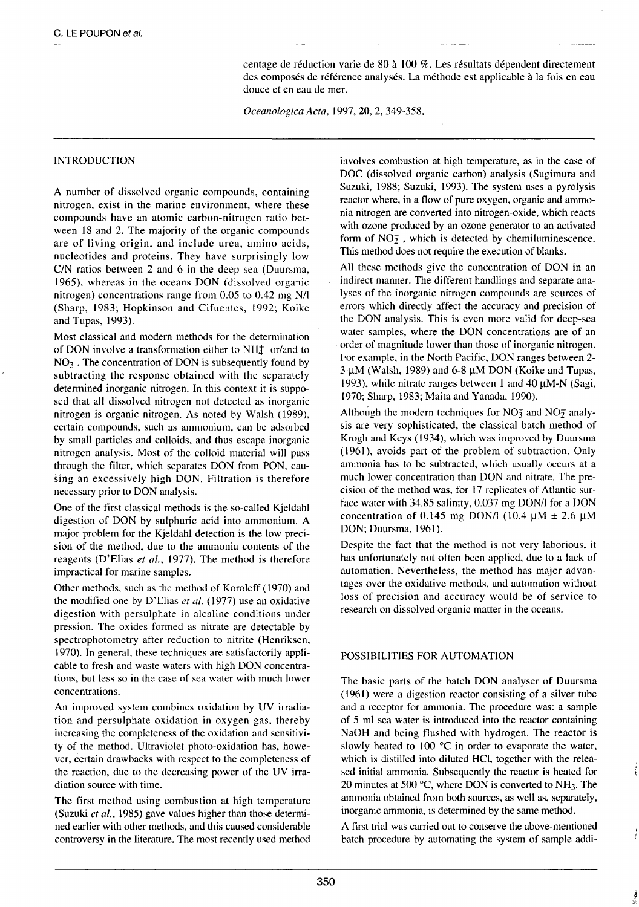centage de réduction varie de 80 à lOO %. Les résultats dépendent directement des composés de référence analysés. La méthode est applicable à la fois en eau douce et en eau de mer.

*Oceanologica Acta,* 1997, 20, 2, 349-358.

## INTRODUCTION

A number of dissolved organic compounds, containing nitrogen, exist in the marine environment, where these compounds have an atomic carbon-nitrogen ratio between 18 and 2. The majority of the organic compounds are of living origin, and include urea, amino acids, nucleotides and proteins. They have surprisingly Jow C/N ratios between 2 and 6 in the deep sea (Duursma, 1965), whereas in the oceans DON (dissolved organic nitrogen) concentrations range from 0.05 to 0.42 mg N/1 (Sharp, 1983; Hopkinson and Cifuentes, 1992; Koike and Tupas, 1993).

Most classical and modern methods for the determination of DON involve a transformation either to  $NH_4^+$  or/and to  $NO<sub>3</sub>$ . The concentration of DON is subsequently found by subtracting the response obtained with the separately determined inorganic nitrogen. In this context it is supposed that ali dissolved nitrogen not dctected as inorganic nitrogen is organic nitrogen. As noted by Walsh (1989), certain compounds, such as ammonium, can be adsorbed by small particles and colloids, and thus escape inorganic nitrogen analysis. Most of the colloid material will pass through the filter, which separates DON from PON, causing an excessively high DON. Filtration is therefore necessary prior to DON analysis.

One of the first classical methods is the so-called Kjeldahl digestion of DON by sulphuric acid into ammonium. A major problem for the Kjeldahl detection is the low precision of the method, due to the ammonia contents of the reagents (D'Elias *et al.,* 1977). The method is therefore impractical for marine samples.

Other methods, such as the method of Koroleff ( 1970) and the modified one by D'Elias *et al.* (1977) use an oxidative digestion with persulphate in alcaline conditions under pression. The oxides formed as nitrate are detectable by spectrophotometry after reduction to nitrite (Henriksen, 1970). In general, these techniques are satisfactorily applicable to fresh and waste waters with high DON concentrations, but Jess so in the case of sea water with much lower concentrations.

An improved system combines oxidation by UV irradiation and persulphate oxidation in oxygen gas, thereby increasing the completeness of the oxidation and sensitivity of the method. Ultraviolet photo-oxidation has, however, certain drawbacks with respect to the completeness of the reaction, due to the decreasing power of the UV irradiation source with time.

The first method using combustion at high temperature (Suzuki *et al.,* 1985) gave values higher than those determined earlier with other methods, and this caused considerable controversy in the literature. The most recently used method

involves combustion at high temperature, as in the case of DOC (dissolved organic carbon) analysis (Sugimura and Suzuki, 1988; Suzuki, 1993). The system uses a pyrolysis reactor where, in a flow of pure oxygen, organic and ammonia nitrogen are converted into nitrogen-oxide, which reacts with ozone produced by an ozone generator to an activated form of  $NO<sub>2</sub>$ , which is detected by chemiluminescence. This method does not require the execution of blanks.

Ail these mcthods give the concentration of DON in an indirect manner. The different handlings and separate analyses of the inorganic nitrogen compounds are sources of errors which directly affect the accuracy and precision of the DON analysis. This is even more valid for deep-sea water samples, where the DON concentrations are of an order of magnitude lower than those of inorganic nitrogen. For example, in the North Pacifie, DON ranges between 2-  $3 \mu$ M (Walsh, 1989) and 6-8  $\mu$ M DON (Koike and Tupas, 1993), while nitrate ranges between 1 and 40  $\mu$ M-N (Sagi, 1970; Sharp, 1983; Maita and Yanada, 1990).

Although the modern techniques for  $NO<sub>3</sub>$  and  $NO<sub>2</sub>$  analysis are very sophisticated, the classical batch method of Krogh and Keys (1934), which was improved by Duursma (1961), avoids part of the problem of subtraction. Only ammonia has to be subtracted, which usually occurs at a much lower concentration than DON and nitrate. The precision of the method was, for 17 replicates of Atlantic surface water with 34.85 salinity, 0.037 mg DON/l for a DON concentration of 0.145 mg DON/l (10.4  $\mu$ M  $\pm$  2.6  $\mu$ M DON; Duursma, 1961).

Despite the fact that the method is not very laborious, it has unfortunately not often been applicd, due to a Jack of automation. Nevertheless, the method has major advantages over the oxidative methods, and automation without loss of precision and accuracy would be of service to research on dissolved organic matter in the oceans.

## POSSIBILITIES FOR AUTOMATION

The basic parts of the batch DON analyser of Duursma ( 1961) were a digestion reactor consisting of a silver tube and a receptor for ammonia. The procedure was: a sample of 5 ml sea water is introduced into the reactor containing NaOH and being flushed with hydrogen. The reactor is slowly heated to  $100 \degree C$  in order to evaporate the water, which is distilled into diluted HCI, together with the released initial ammonia. Subsequently the reactor is heated for 20 minutes at 500 °C, where DON is converted to NH3. The ammonia obtained from both sources, as weil as, separately, inorganic ammonia, is determined by the same method.

A first trial was carried out to conserve the above-mentioned batch procedure by automating the system of sample addi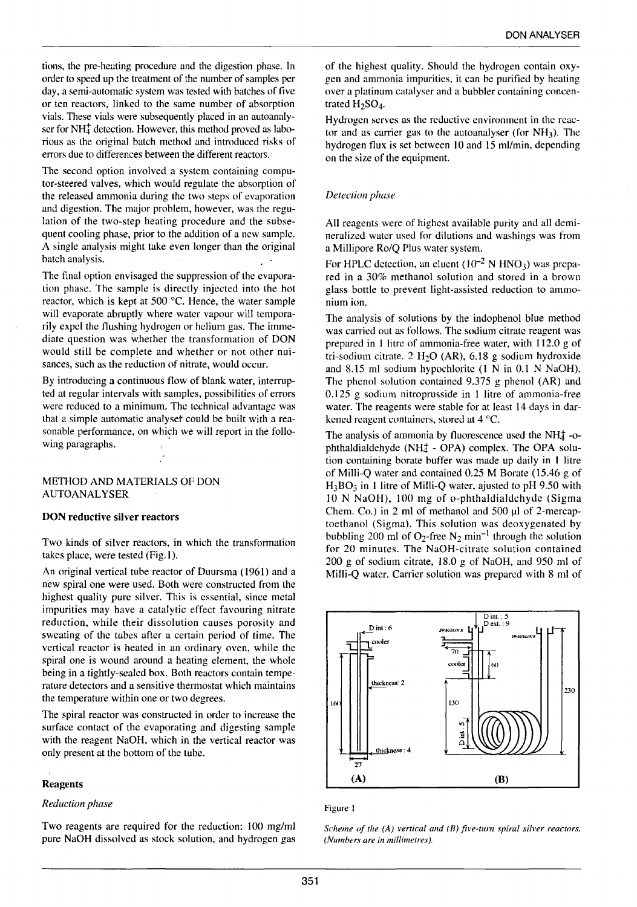tions, the pre-heating procedure and the digestion phase. In order to speed up the treatment of the number of samples per day, a semi-automatic system was tested with batches of five or ten reactors, linked to the same number of absorption vials. These vials were subsequently placed in an autoanalyser for  $NH<sub>4</sub><sup>+</sup>$  detection. However, this method proved as laborious as the original batch method and introduced risks of errors due to differences between the different reactors.

The second option involved a system containing computor-steered valves, which would regulate the absorption of the released ammonia during the two steps of evaporation and digestion. The major problem, however, was the regulation of the two-step heating procedure and the subsequent cooling phase, prior to the addition of a new sample. A single analysis might take even longer than the original batch analysis.

The final option envisaged the suppression of the evaporation phase. The sample is directly injected into the hot reactor, which is kept at 500  $^{\circ}$ C. Hence, the water sample will evaporate abruptly where water vapour will temporarily expel the flushing hydrogen or helium gas. The immediate question was whether the transformation of DON would still be complete and whether or not other nuisances, such as the reduction of nitrate, would occur.

By introducing a continuous flow of blank water, interrupted at regular intervals with samples, possibilities of errors were reduced to a minimum. The technical advantage was that a simple automatic analyset could be built with a reasonable performance, on which we will report in the following paragraphs.

## METHOD AND MATERIALS OF DON AUTOANALYSER

#### DON reductive silver reactors

Two kinds of silver reactors, in which the transformation takes place, were tested (Fig.l ).

An original vertical tube reactor of Duursma ( 1961) and a new spiral one were used. 8oth were constructed from the highest quality pure silver. This is essential, since metal impurities may have a catalytic effect favouring nitrate reduction, while their dissolution causes porosity and sweating of the tubes after a certain period of time. The vertical reactor is heated in an ordinary oven, while the spiral one is wound around a heating element, the whole being in a tightly-sealed box. Both reactors contain temperature detectors and a sensitive thermostat which maintains the temperature within one or two degrees.

The spiral reactor was constructed in order to increase the surface contact of the evaporating and digesting sample with the reagent NaOH, which in the vertical reactor was only present at the bottom of the tube.

#### **Reagents**

#### *Reduction phase*

Two reagents are required for the reduction: 100 mg/ml pure NaOH dissolved as stock solution, and hydrogen gas

of the highest quality. Should the hydrogen contain oxygen and ammonia impurities, it can be purified by heating over a platinum catalyser and a bubbler containing concentrated  $H_2SO_4$ .

Hydrogen serves as the reductive environment in the reactor and as carrier gas to the autoanalyser (for  $NH<sub>3</sub>$ ). The hydrogen flux is set between 10 and 15 ml/min, depending on the size of the equipment.

#### *Detection phase*

Ali reagents were of highest available purity and ali demineralized water used for dilutions and washings was from a Millipore Ro/Q Plus water system.

For HPLC detection, an eluent  $(10^{-2} N HNO<sub>3</sub>)$  was prepared in a 30% methanol solution and stored in a brown glass bottle to prevent light-assisted reduction to ammonium ion.

The analysis of solutions by the indophenol blue method was carried out as follows. The sodium citrate reagent was prepared in 1 litre of ammonia-free water, with 112.0 g of tri-sodium citrate. 2 H<sub>2</sub>O (AR), 6.18 g sodium hydroxide and 8.15 ml sodium hypochlorite (1 N in 0.1 N NaOH). The phenol solution contained 9.375 g phenol (AR) and 0.125 g sodium nitroprusside in 1 litre of ammonia-free water. The reagents were stable for at least 14 days in darkened reagent containers, stored at 4 °C.

The analysis of ammonia by fluorescence used the NH $\ddagger$ -ophthaldialdehyde (NH $<sub>4</sub>$  - OPA) complex. The OPA solu-</sub> tion containing borate buffer was made up daily in 1 litre of Milli-Q water and contained 0.25 M Borate (15.46 g of  $H_3BO_3$  in 1 litre of Milli-Q water, ajusted to pH 9.50 with 10 N NaOH), 100 mg of o-phthaldialdchydc (Sigma Chem. Co.) in 2 ml of methanol and  $500 \mu$ l of 2-mercaptoethanol (Sigma). This solution was deoxygenated by bubbling 200 ml of O<sub>2</sub>-free N<sub>2</sub> min<sup>-1</sup> through the solution for 20 minutes. The NaOH-citrate solution contained 200 g of sodium citrate, 18.0 g of NaOH, and 950 ml of Milli-Q water. Carrier solution was prepared with 8 ml of



#### Figure 1

*Scheme of the (A) vertical and (B) five-turn spiral silver reactors. (Numbers are in millimetres).*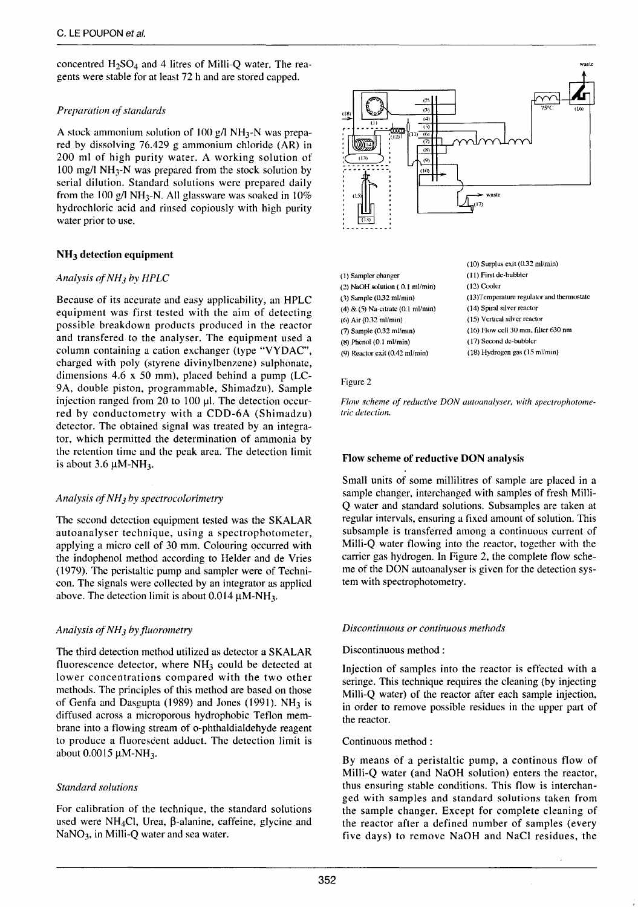concentred  $H_2SO_4$  and 4 litres of Milli-O water. The reagents were stable for at least 72 h and are stored capped.

# *Preparation of standards*

A stock ammonium solution of 100 g/l NH<sub>3</sub>-N was prepared by dissolving 76.429 g ammonium chloride (AR) in 200 ml of high purity water. A working solution of 100 mg/1 NH3-N was prepared from the stock solution by serial dilution. Standard solutions were prepared daily from the 100 g/l NH<sub>3</sub>-N. All glassware was soaked in  $10\%$ hydrochloric acid and rinsed copiously with high purity water prior to use.

# NH3 detection equipment

## *Analysis (!f NH3 by HPLC*

Because of its accurate and easy applicability, an HPLC equipment was first tested with the aim of detecting possible breakdown products produced in the reactor and transfered to the analyser. The equipment used a column containing a cation exchanger (type "VYDAC", charged with poly (styrene divinylbenzene) sulphonate, dimensions 4.6 x 50 mm), placed behind a pump (LC-9A, double piston, programmable, Shimadzu). Sample injection ranged from 20 to 100  $\mu$ l. The detection occurred by conductometry with a CDD-6A (Shimadzu) detector. The obtained signal was treated by an integrator, which permitted the determination of ammonia by the retention time and the peak arca. The detection limit is about  $3.6 \mu$ M-NH<sub>3</sub>.

## *Analysis of NH 3 hy spectrocolorimetry*

The second detection equipmcnt tested was the SKALAR autoanalyser technique, using a spectrophotometer, applying a micro cell of 30 mm. Colouring occurred with the indophenol method according to Helder and de Vries ( 1979). The peristaltie pump and samplcr were of Technicon. The signais were collected by an integrator as applicd above. The detection limit is about  $0.014 \mu M\text{-}NH_3$ .

# *Analysis ojNH3 hy jluorometry*

The third detection method utilized as detector a SKALAR fluorescence detector, where  $NH<sub>3</sub>$  could be detected at lower concentrations compared with the two other methods. The principles of this method are based on those of Genfa and Dasgupta (1989) and Jones (1991).  $NH<sub>3</sub>$  is diffused across a microporous hydrophobie Teflon membrane into a flowing stream of o-phthaldialdehyde reagent to produce a fluorescent adduct. The detection limit is about  $0.0015 \mu$ M-NH<sub>3</sub>.

# *Standard solutions*

For calibration of the technique, the standard solutions used were NH<sub>4</sub>Cl, Urea,  $\beta$ -alanine, caffeine, glycine and NaNO<sub>3</sub>, in Milli-Q water and sea water.



| (1) Sampler changer                             |
|-------------------------------------------------|
| $(2)$ NaOH solution $(0.1$ ml/min $)$           |
| $(3)$ Sample $(0.32$ ml/min $)$                 |
| $(4)$ & $(5)$ Na-citrate $(0.1 \text{ ml/min})$ |
| $(6)$ Air $(0.32$ ml/min)                       |
| $(7)$ Sample $(0.32 \text{ ml/min})$            |
| $(8)$ Phenol $(0.1 \text{ ml/min})$             |
| $(9)$ Reactor exit $(0.42 \text{ ml/min})$      |

(10) Surplus exit (0.32 ml/min) (Il) First dc-huhblcr (12) Coolcr (13)Temperature regulator and thermostate (14) Spiral silver reactor (15) Verucal stlvcr rcactor (16) Row œll30 mm, filtcr630 nm ( 17) Second dc-hubblcr (18) Hydrogen gas (15 ml/min)

#### Figure 2

*Flow scheme of reductive DON autoanalyser, with spectrophotometric detection.* 

# Flow scheme of reductive DON analysis

Small units of some millilitres of sample are placed in a sample changer, interchanged with samples of fresh Milli-Q water and standard solutions. Subsamples are taken at regular intervals, ensuring a fixcd amount of solution. This subsample is transferred among a continuous current of Milli-Q water flowing into the reactor, together with the carrier gas hydrogen. In Figure 2, the complete flow scheme of the DON autoanalyser is given for the detection system with spectrophotometry.

## *Discontinuous or continuo us methods*

## Discontinuous method :

Injection of samples into the reactor is effected with a seringe. This technique requires the cleaning (by injecting Milli-Q water) of the reactor after each sample injection, in order to remove possible residues in the upper part of the reactor.

## Continuous method :

By means of a peristaltic pump, a continous flow of Milli-Q water (and NaOH solution) enters the reactor, thus ensuring stable conditions. This flow is interchanged with samples and standard solutions taken from the sample changer. Except for complete cleaning of the reactor after a defined number of samples (every five days) to remove NaOH and NaCI residues, the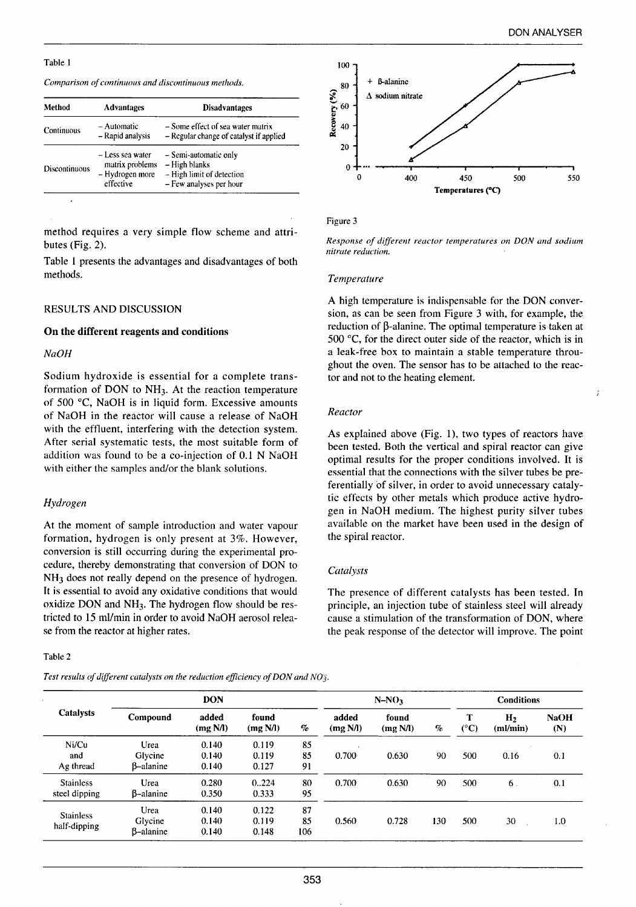## Table 1

*Comparison of continuous and discontinuous methods.* 

| Method        | <b>Advantages</b>                                                   | <b>Disadvantages</b>                                                                             |
|---------------|---------------------------------------------------------------------|--------------------------------------------------------------------------------------------------|
| Continuous    | - Automatic<br>- Rapid analysis                                     | $-$ Some effect of sea water matrix<br>- Regular change of catalyst if applied                   |
| Discontinuous | - Less sea water<br>matrix problems<br>- Hydrogen more<br>effective | - Semi-automatic only<br>– High blanks<br>$-$ High limit of detection<br>- Few analyses per hour |

method requires a very simple flow scheme and attributes (Fig. 2).

Table 1 presents the advantages and disadvantages of both methods.

## RESULTS AND DISCUSSION

## On the different reagents and conditions

#### *Na OH*

Sodium hydroxide is essential for a complete transformation of DON to NH3. At the reaction temperature of 500 °C, NaOH is in liquid form. Excessive amounts of NaOH in the reactor will cause a release of NaOH with the effluent, interfering with the detection system. After serial systematic tests, the most suitable form of addition was found to be a co-injection of 0.1 N NaOH with either the samples and/or the blank solutions.

#### *Hydrogen*

At the moment of sample introduction and water vapour formation, hydrogen is only present at 3%. However, conversion is still occurring during the experimental procedure, thereby demonstrating that conversion of DON to NH<sub>3</sub> does not really depend on the presence of hydrogen. It is essential to avoid any oxidative conditions that would oxidize DON and NH3. The hydrogen flow should be restricted to 15 ml/min in order to avoid NaOH aerosol release from the reactor at higher rates.

#### Table 2

*Test results of different catalysts on the reduction efficiency of DON and NO].* 



#### Figure 3

*Response of different reactor temperatures on DON and sodium nitrate reduction.* 

#### *Temperature*

A high temperature is indispensable for the DON conversion, as can be seen from Figure 3 with, for example, the reduction of  $\beta$ -alanine. The optimal temperature is taken at 500  $^{\circ}$ C, for the direct outer side of the reactor, which is in a leak-free box to maintain a stable temperature throughout the oven. The sensor has to be attached to the reactor and not to the heating element.

#### *Reactor*

As explained above (Fig. 1), two types of reactors have been tested. 8oth the vertical and spiral reactor can give optimal results for the proper conditions involved. lt is essential that the connections with the silver tubes be preferentially of silver, in order to avoid unnecessary catalytic effects by other metals which produce active hydrogen in NaOH medium. The highest purity silver tubes available on the market have been used in the design of the spiral reactor.

#### *Catalysts*

The presence of different catalysts has been tested. In principle, an injection tube of stainless steel will already cause a stimulation of the transformation of DON, where the peak response of the detector will improve. The point

| Catalysts                         | <b>DON</b>                   |                         |                         | $N-NO3$         |                   |                   | <b>Conditions</b> |                    |                  |                    |
|-----------------------------------|------------------------------|-------------------------|-------------------------|-----------------|-------------------|-------------------|-------------------|--------------------|------------------|--------------------|
|                                   | Compound                     | added<br>(mg N/l)       | found<br>(mg N/l)       | $\%$            | added<br>(mg N/l) | found<br>(mg N/l) | %                 | т<br>$(^{\circ}C)$ | $H_2$<br>m / min | <b>NaOH</b><br>(N) |
| Ni/Cu<br>and<br>Ag thread         | Urea<br>Glycine<br>B-alanine | 0.140<br>0.140<br>0.140 | 0.119<br>0.119<br>0.127 | 85<br>85<br>91  | 0.700             | 0.630             | 90                | 500                | 0.16             | 0.1                |
| <b>Stainless</b><br>steel dipping | Urea<br>B-alanine            | 0.280<br>0.350          | 0.224<br>0.333          | 80<br>95        | 0.700             | 0.630             | 90                | 500                | 6.               | 0.1                |
| <b>Stainless</b><br>half-dipping  | Urea<br>Glycine<br>B-alanine | 0.140<br>0.140<br>0.140 | 0.122<br>0.119<br>0.148 | 87<br>85<br>106 | 0.560             | 0.728             | 130               | 500                | 30               | 1.0                |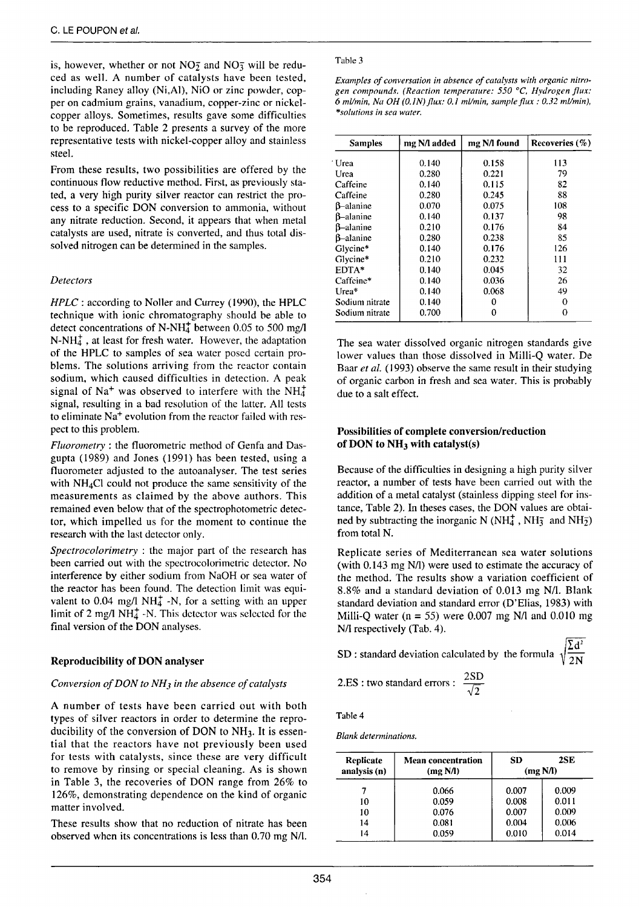is, however, whether or not  $NO<sub>2</sub>$ <sup>2</sup> and  $NO<sub>3</sub>$ <sup>3</sup> will be reduced as weil. A number of catalysts have been tested, including Raney alloy (Ni,Al), NiO or zinc powder, copper on cadmium grains, vanadium, copper-zinc or nickelcopper alloys. Sometimes, results gave sorne difficulties to be reproduced. Table 2 presents a survey of the more representative tests with nickel-copper alloy and stainless steel.

From these results, two possibilities are offered by the continuous flow reductive method. First, as previously stated, a very high purity silver reactor can restrict the process to a specifie DON conversion to ammonia, without any nitrate reduction. Second, it appears that when metal catalysts are used, nitrate is converted, and thus total dissolved nitrogen can be determined in the samples.

## *Detectors*

*HPLC* : according to Noller and Currey (1990), the HPLC technique with ionie chromatography should be able to detect concentrations of N-NH<sub>4</sub><sup>+</sup> between 0.05 to 500 mg/l  $N-NH<sub>4</sub><sup>+</sup>$ , at least for fresh water. However, the adaptation of the HPLC to samples of sea water posed certain problems. The solutions arriving from the reactor contain sodium, which caused difficulties in detection. A peak signal of Na<sup>+</sup> was observed to interfere with the NH $_4^+$ signal, resulting in a bad resolution of the latter. Ali tests to eliminate Na<sup>+</sup> evolution from the reactor failed with respect to this problem.

*Fluorometry* : the fluorometric method of Genfa and Dasgupta (1989) and Jones (1991) has been tested, using a fluorometer adjusted to the autoanalyser. The test series with  $NH<sub>4</sub>Cl$  could not produce the same sensitivity of the measurements as claimed by the above authors. This remained even below that of the spectrophotometric detector, which impelled us for the moment to continue the research with the last detector only.

*Spectrocolorimetry* : the major part of the research has been carried out with the spectrocolorimetric detector. No interference by either sodium from NaOH or sea water of the reactor has been found. The detection limit was equivalent to  $0.04 \text{ mg/l}$  NH $_4^+$  -N, for a setting with an upper limit of 2 mg/l NH $<sub>4</sub>$  -N. This detector was selected for the</sub> final version of the DON analyses.

# Reproducibility of DON analyser

## *Conversion of DON to NH3 in the absence of catalysts*

A number of tests have been carried out with both types of silver reactors in order to determine the reproducibility of the conversion of DON to  $NH<sub>3</sub>$ . It is essential that the reactors have not previously been used for tests with catalysts, since these are very difficult to remove by rinsing or special cleaning. As is shown in Table 3, the recoveries of DON range from 26% to 126%, demonstrating dependence on the kind of organic matter involved.

These results show that no reduction of nitrate has been observed when its concentrations is less than 0.70 mg N/l.

#### Table 3

*Examples of conversation* in *absence of catalysts with organic nitrogen compounds. (Reaction temperature: 550* °C, *Hydrogen flux: 6 ml/min, Nu OH (0./N)flu.x: 0.1 ml/min, sumpleflux: 0.32 ml/min), \*solutions in sea water.* 

| <b>Samples</b>    | mg N/l added | mg N/l found | Recoveries $(\%)$ |
|-------------------|--------------|--------------|-------------------|
| Urea              | 0.140        | 0.158        | 113               |
| Urea              | 0.280        | 0.221        | 79                |
| Caffeine          | 0.140        | 0.115        | 82                |
| Caffeine          | 0.280        | 0.245        | 88                |
| $\beta$ –alanine  | 0.070        | 0.075        | 108               |
| <b>B</b> -alanine | 0.140        | 0.137        | 98                |
| <b>B</b> -alanine | 0.210        | 0.176        | 84                |
| $\beta$ –alanine  | 0.280        | 0.238        | 85                |
| Glycine*          | 0.140        | 0.176        | 126               |
| Glycine*          | 0.210        | 0.232        | 111               |
| EDTA*             | 0.140        | 0.045        | 32                |
| Caffeine*         | 0.140        | 0.036        | 26                |
| Urea*             | 0.140        | 0.068        | 49                |
| Sodium nitrate    | 0.140        | 0            | Ω                 |
| Sodium nitrate    | 0.700        | 0            | 0                 |

The sea water dissolved organic nitrogen standards give lower values than those dissolved in Milli-Q water. De Baar *et al.* (1993) observe the same result in their studying of organic carbon in fresh and sea water. This is probably due to a salt effect.

# Possibilities of complete conversion/reduction of DON to  $NH<sub>3</sub>$  with catalyst(s)

Because of the difficulties in designing a high purity silver reactor, a number of tests have been carried out with the addition of a metal catalyst (stainless dipping steel for instance, Table 2). In theses cases, the DON values are obtained by subtracting the inorganic N ( $NH_4^+$ , NH<sub>3</sub> and NH<sub>2</sub>) from total N.

Replicate series of Mediterranean sea water solutions (with  $0.143 \text{ mg N/l}$ ) were used to estimate the accuracy of the method. The results show a variation coefficient of 8.8% and a standard deviation of 0.013 mg N/l. Blank standard deviation and standard error (D'Elias, 1983) with Milli-Q water ( $n = 55$ ) were 0.007 mg N/l and 0.010 mg N/I respectively (Tab. 4).

SD : standard deviation calculated by the formula  $\sqrt{\frac{\Sigma d^2}{2N}}$ 

2.ES: two standard errors : 
$$
\frac{2SD}{\sqrt{2}}
$$

Table 4

*Blank determinations.* 

| Replicate    | <b>Mean concentration</b> | SD    | 2SE      |
|--------------|---------------------------|-------|----------|
| analysis (n) | (mg N/l)                  |       | (mg N/I) |
|              | 0.066                     | 0.007 | 0.009    |
| 10           | 0.059                     | 0.008 | 0.011    |
| 10           | 0.076                     | 0.007 | 0.009    |
| 14           | 0.081                     | 0.004 | 0.006    |
| 14           | 0.059                     | 0.010 | 0.014    |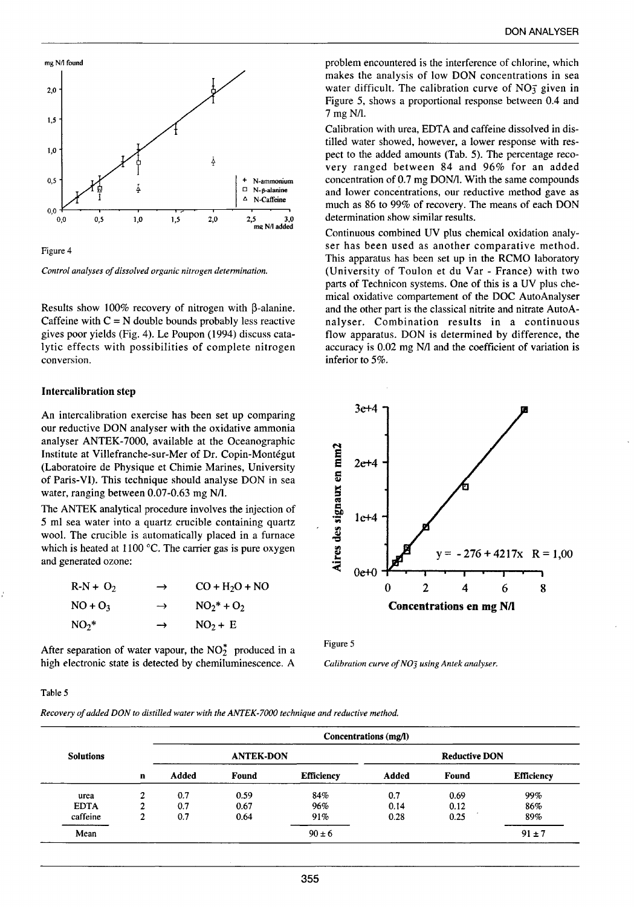

Figure 4

*Control analyses of dissolved organic nitrogen determination.* 

Results show 100% recovery of nitrogen with  $\beta$ -alanine. Caffeine with  $C = N$  double bounds probably less reactive gives poor yields (Fig. 4). Le Poupon (1994) discuss catalytic effects with possibilities of complete nitrogen conversion.

## lntercalibration step

An intercalibration exercise has been set up comparing our reductive DON analyser with the oxidative ammonia analyser ANTEK-7000, available at the Oceanographie Institute at Villefranche-sur-Mer of Dr. Copin-Montégut (Laboratoire de Physique et Chimie Marines, University of Paris-VI). This technique should analyse DON in sea water, ranging between 0.07-0.63 mg N/1.

The ANTEK analytical procedure involves the injection of 5 ml sea water into a quartz crucible containing quartz wool. The crucible is automatically placed in a furnace which is heated at 1100 °C. The carrier gas is pure oxygen and generated ozone:

| $R-N + O_2$ | $\rightarrow$ | $CO + H2O + NO$ |
|-------------|---------------|-----------------|
| $NO + O3$   | $\rightarrow$ | $NO_2^* + O_2$  |
| $NO2$ *     | $\rightarrow$ | $NO2 + E$       |

After separation of water vapour, the  $NO<sub>2</sub><sup>*</sup>$  produced in a high electronic state is detected by chemiluminescence. A

problem encountered is the interference of chlorine, which makes the analysis of low DON concentrations in sea water difficult. The calibration curve of  $NO<sub>3</sub>$  given in Figure 5, shows a proportional response between 0.4 and 7 mg N/l.

Calibration with urea, EDTA and caffeine dissolved in distilled water showed, however, a lower response with respect to the added amounts (Tab. 5). The percentage recovery ranged between 84 and 96% for an added concentration of 0.7 mg DON/1. With the same compounds and lower concentrations, our reductive method gave as much as 86 to 99% of recovery. The means of each DON determination show similar results.

Continuous combined UV plus chemical oxidation analyser has been used as another comparative method. This apparatus has been set up in the RCMO laboratory (University of Toulon et du Var- France) with two parts of Technicon systems. One of this is a UV plus chemica! oxidative compartement of the DOC AutoAnalyser and the other part is the classical nitrite and nitrate AutoAnalyser. Combination results in a continuous flow apparatus. DON is determined by difference, the accuracy is 0.02 mg N/l and the coefficient of variation is inferior to 5%.



Figure 5

*Calibration curve of NO] using Antek analyser.* 

#### Table 5

*Recovery of added DON to distilled water with the ANTEK-7000 technique and reductive method.* 

|                  |             |       |                  |                   | Concentrations (mg/l) |                      |                   |
|------------------|-------------|-------|------------------|-------------------|-----------------------|----------------------|-------------------|
| <b>Solutions</b> |             |       | <b>ANTEK-DON</b> |                   |                       | <b>Reductive DON</b> |                   |
|                  | $\mathbf n$ | Added | Found            | <b>Efficiency</b> | Added                 | Found                | <b>Efficiency</b> |
| urea             | ↑           | 0.7   | 0.59             | 84%               | 0.7                   | 0.69                 | 99%               |
| <b>EDTA</b>      | ◠           | 0.7   | 0.67             | 96%               | 0.14                  | 0.12                 | 86%               |
| caffeine         | ↑           | 0.7   | 0.64             | 91%               | 0.28                  | 0.25                 | 89%               |
| Mean             |             |       |                  | $90 \pm 6$        |                       |                      | $91 \pm 7$        |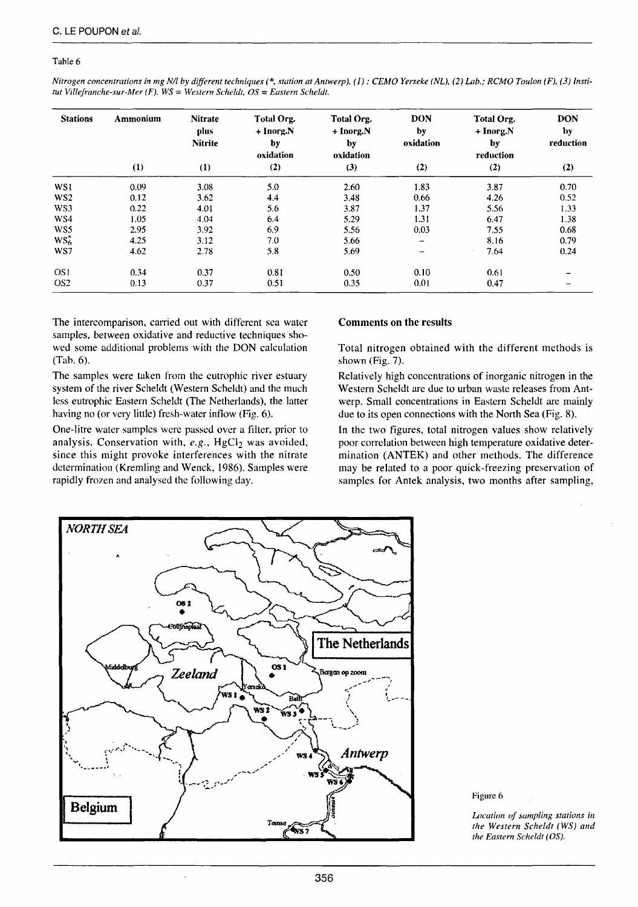#### Table 6

| Nitrogen concentrations in mg N/l by different techniques (*, station at Antwerp). (1): CEMO Yerseke (NL), (2) Lab.; RCMO Toulon (F), (3) Insti- |  |
|--------------------------------------------------------------------------------------------------------------------------------------------------|--|
| tut Villefranche-sur-Mer (F). $WS = Western$ Scheldt, $OS = Eastern$ Scheldt,                                                                    |  |

| <b>Stations</b> | Ammonium | <b>Nitrate</b><br>plus<br><b>Nitrite</b> | Total Org.<br>+ Inorg.N<br>by<br>oxidation | Total Org.<br>+ Inorg.N<br>by<br>oxidation | <b>DON</b><br>by<br>oxidation | Total Org.<br>+ Inorg.N<br>by<br>reduction | <b>DON</b><br>by<br>reduction |
|-----------------|----------|------------------------------------------|--------------------------------------------|--------------------------------------------|-------------------------------|--------------------------------------------|-------------------------------|
|                 | (1)      | (1)                                      | (2)                                        | (3)                                        | (2)                           | (2)                                        | (2)                           |
| WS1             | 0.09     | 3.08                                     | 5.0                                        | 2.60                                       | 1.83                          | 3.87                                       | 0.70                          |
| WS <sub>2</sub> | 0.12     | 3.62                                     | 4.4                                        | 3.48                                       | 0.66                          | 4.26                                       | 0.52                          |
| WS3             | 0.22     | 4.01                                     | 5.6                                        | 3.87                                       | 1.37                          | 5.56                                       | 1.33                          |
| WS4             | 1.05     | 4.04                                     | 6.4                                        | 5.29                                       | 1.31                          | 6.47                                       | 1.38                          |
| WS5             | 2.95     | 3.92                                     | 6.9                                        | 5.56                                       | 0.03                          | 7.55                                       | 0.68                          |
| $WS^*_6$        | 4.25     | 3.12                                     | 7.0                                        | 5.66                                       | -                             | 8.16                                       | 0.79                          |
| WS7             | 4.62     | 2.78                                     | 5.8                                        | 5.69                                       | -                             | 7.64                                       | 0.24                          |
| OS <sub>1</sub> | 0.34     | 0.37                                     | 0.81                                       | 0.50                                       | 0.10                          | 0.61                                       |                               |
| OS <sub>2</sub> | 0.13     | 0.37                                     | 0.51                                       | 0.35                                       | 0.01                          | 0.47                                       | -                             |

The intercomparison, carried out with different sea water samples, between oxidative and reductive techniques showed sorne additional problems with the DON calculation (Tab. 6).

The samples were taken from the eutrophie river estuary system of the river Scheldt (Western Scheldt) and the much less eutrophie Eastern Scheldt (The Netherlands), the latter having no (or very little) fresh-water inflow (Fig. 6).

One-litre water samples were passed over a filter, prior to analysis. Conservation with, e.g., HgCl<sub>2</sub> was avoided, since this might provoke interferences with the nitrate determination (Kremling and Wenck, 1986). Samples were rapidly frozen and analysed the following day.

#### Comments on the results

Total nitrogen obtained with the different methods is shown (Fig. 7).

Relatively high concentrations of inorganic nitrogen in the Western Scheldt are due to urban waste releases from Antwerp. Small concentrations in Eastern Scheldt are mainly due to its open connections with the North Sea (Fig. 8).

In the two figures, total nitrogen values show relatively poor correlation between high temperature oxidative determination (ANTEK) and other methods. The difference may be related to a poor quick-freezing preservation of samples for Antek analysis, two months after sampling,



Figure 6

*Location of sampling stations in the Western Scheldt (WS) and the Eastern Scheldt (OS).*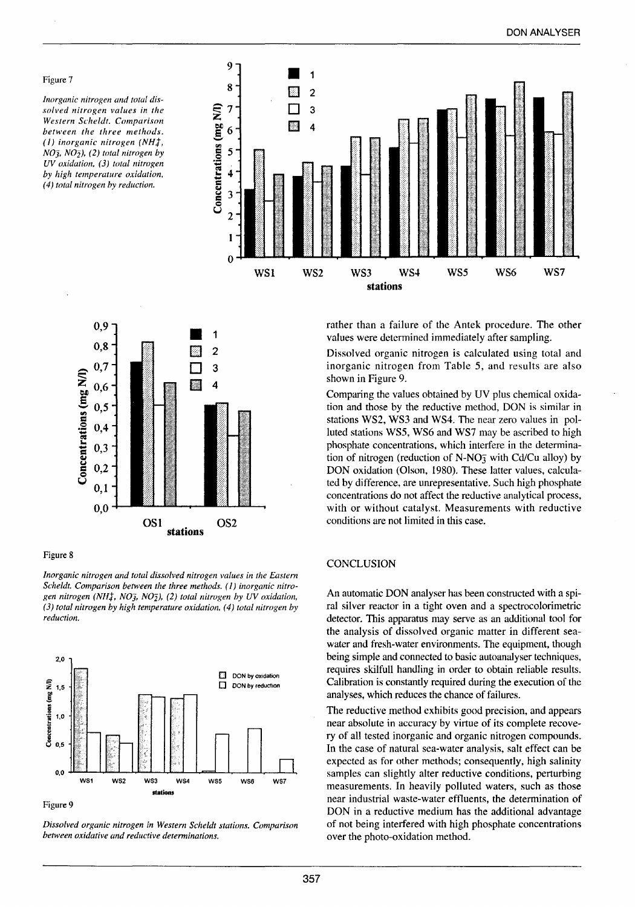#### Figure 7

*lnorganic nitrogen and total dissolved nitrogen values in the Western Scheldt. Comparison between the three methods. ( 1) inorganic nitrogen* (NHt,  $NO<sub>3</sub>$ ,  $NO<sub>2</sub>$ ), (2) total nitrogen by *UV oxidation, (3) total nitrogen by high temperature oxidation, (4) total nitrogen by reduction.* 



 $\begin{array}{c} \n \blacksquare & 1 \\
\blacksquare & 2\n \end{array}$ 0,9 0,8 ີ**ຂ** 0,7 3 ~ 0,6 CHA. 4 0,5  $\frac{8}{4}$  0,4  $\frac{3}{2}$  ... = *QJ*  **u**  = 0,2 **<sup>Q</sup> <sup>u</sup>**0,1 0,0 OSI OS2 **stations** 

#### Figure 8

*lnorganic nitrogen and total dissolved nitrogen values in the Eastern*  Scheldt. Comparison between the three methods. (1) inorganic nitro*gen nitrogen* (NHt, NO], N02), *(2) total nitrogen by UV oxidation, (3) total nitrogen by high temperature oxidation, (4) total nitrogen by reduction.* 



#### Figure 9

*Dissolved organic nitrogen in Western Scheldt stations. Comparison between oxidative and reductive determinations.* 

rather than a failure of the Antek procedure. The other values were determined immediately after sampling.

Dissolved organic nitrogen is calculated using total and inorganic nitrogen from Table 5, and results are also shown in Figure 9.

Comparing the values obtained by UV plus chernical oxidation and those by the reductive method, DON is similar in stations WS2, WS3 and WS4. The near zero values in polluted stations WS5, WS6 and WS7 may be ascribed to high phosphate concentrations, which interfere in the determination of nitrogen (reduction of N-NO $\frac{1}{2}$  with Cd/Cu alloy) by DON oxidation (Oison, 1980). These latter values, calculated by difference, are unrepresentative. Such high phosphate concentrations do not affect the reductive analytical process, with or without catalyst. Measurements with reductive conditions are not limited in this case.

#### **CONCLUSION**

An automatic DON analyser has been constructed with a spiral silver reactor in a tight oven and a spectrocolorimetric detector. This apparatus may serve as an additional tool for the analysis of dissolved organic matter in different seawater and fresh-water environments. The equipment, though being simple and connected to basic autoanalyser techniques, requires skilfull handling in order to obtain reliable results. Calibration is constantly required during the execution of the analyses, which reduces the chance of failures.

The reductive method exhibits good precision, and appears near absolute in accuracy by virtue of its complete recovery of ali tested inorganic and organic nitrogen compounds. In the case of natural sea-water analysis, salt effect can be expected as for other methods; consequently, high salinity samples can slightly alter reductive conditions, perturbing measurements. In heavily polluted waters, such as those near industrial waste-water effluents, the determination of DON in a reductive medium has the additional advantage of not being interfered with high phosphate concentrations over the photo-oxidation method.